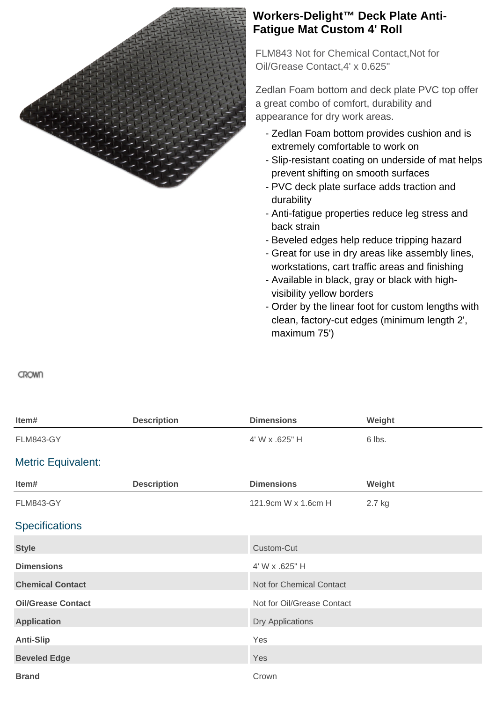

## **Workers-Delight™ Deck Plate Anti-Fatigue Mat Custom 4' Roll**

FLM843 Not for Chemical Contact,Not for Oil/Grease Contact,4' x 0.625"

Zedlan Foam bottom and deck plate PVC top offer a great combo of comfort, durability and appearance for dry work areas.

- Zedlan Foam bottom provides cushion and is extremely comfortable to work on
- Slip-resistant coating on underside of mat helps prevent shifting on smooth surfaces
- PVC deck plate surface adds traction and durability
- Anti-fatigue properties reduce leg stress and back strain
- Beveled edges help reduce tripping hazard
- Great for use in dry areas like assembly lines, workstations, cart traffic areas and finishing
- Available in black, gray or black with high- visibility yellow borders
- Order by the linear foot for custom lengths with clean, factory-cut edges (minimum length 2', maximum 75')

**CROWN** 

| Item#                     | <b>Description</b> | <b>Dimensions</b>          | Weight |
|---------------------------|--------------------|----------------------------|--------|
| <b>FLM843-GY</b>          |                    | 4' W x .625" H             | 6 lbs. |
| <b>Metric Equivalent:</b> |                    |                            |        |
| Item#                     | <b>Description</b> | <b>Dimensions</b>          | Weight |
| <b>FLM843-GY</b>          |                    | 121.9cm W x 1.6cm H        | 2.7 kg |
| <b>Specifications</b>     |                    |                            |        |
| <b>Style</b>              |                    | Custom-Cut                 |        |
| <b>Dimensions</b>         |                    | 4' W x .625" H             |        |
| <b>Chemical Contact</b>   |                    | Not for Chemical Contact   |        |
| <b>Oil/Grease Contact</b> |                    | Not for Oil/Grease Contact |        |
| <b>Application</b>        |                    | <b>Dry Applications</b>    |        |
| <b>Anti-Slip</b>          |                    | Yes                        |        |
| <b>Beveled Edge</b>       |                    | Yes                        |        |
| <b>Brand</b>              |                    | Crown                      |        |